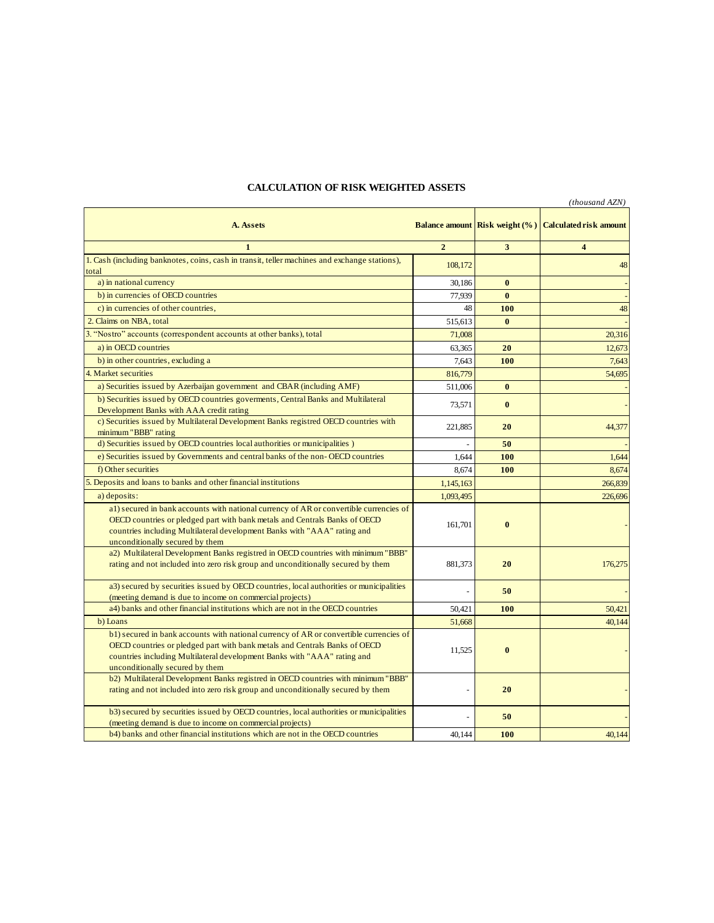## **A. Assets Balance amount Risk weight (%) Calculated risk amount**<br>**Risk weight (%) Calculated risk amount 1 2 3 4** 1. Cash (including banknotes, coins, cash in transit, teller machines and exchange stations), total **108,172 108,172 108,172 108,172 108,172 108,172 108,172 108,172 108,172 108,172 108,172 108,172 108,172 108,172 108,172 108,172 108,172 108,172 108,172 108,172 108,172 108,172 1** a) in national currency **a** and the set of the set of the set of the set of the set of the set of the set of the set of the set of the set of the set of the set of the set of the set of the set of the set of the set of the b) in currencies of OECD countries 77,939 **0** c) in currencies of other countries, 48 **100** 48 **2.** Claims on NBA, total **0** 515,613 **0 1** 515,613 **0** 3. "Nostro" accounts (correspondent accounts at other banks), total 71,008 **0** 20,316 a) in currencies of OECD countries for the countries for the countries,<br>
a) in currencies of other countries,<br>
20 10 148<br>
20 11,008<br>
20 12,673<br>
a) in OECD countries excluding a<br>
b) in other countries, excluding a<br>
a) in OE **b**) in other countries, excluding a 7,643 **100** 7,643 4. Market securities 816,95 0 54,695 a) Securities issued by Azerbaijan government and CBAR (including AMF) 511,006 **0** - 0 b) Securities issued by OECD countries goverments, Central Banks and Multilateral Development Banks with AAA credit rating 73,571 **0** c) Securities issued by Multilateral Development Banks registred OECD countries with minimum "BBB" rating<br>
d) Securities issued by OECD countries local authorities or municipalities ) 816,779<br>
511,006 **0**<br>
73,571 **0**<br>
221,885 **20**<br>
50 d) Securities issued by OECD countries government and EDAR (including 1311)<br>
Development Banks with AAA credit rating<br>
c) Securities issued by Multilateral Development Banks registred OECD countries with<br>
minimum "BBB" rat e) Securities issued by Governments and central banks of the non-OECD countries 1,644 **100** 1,644 **100** 1,644 f) Other securities 8,674 **100** 8,674 5. Deposits and loans to banks and other financial institutions 1,145,163 **0** 266,839 a) deposits: 1,093,495 **0** 226,696 a1) secured in bank accounts with national currency of AR or convertible currencies of OECD countries or pledged part with bank metals and Centrals Banks of OECD countries including Multilateral development Banks with "AAA" rating and unconditionally secured by them 161,701 **0** a2) Multilateral Development Banks registred in OECD countries with minimum "BBB" Factured in bank accounts with national currency of AR or convertible currences of<br>OECD countries including Multilateral development Banks with "AAA" rating and<br>nationally secured by them<br>and not included into zero risk gr a3) secured by securities issued by OECD countries, local authorities or municipalities (meeting demand is due to income on commercial projects) **50**<br> **50**<br> **50**<br> **50**<br> **50.421**<br> **50.421**<br> **50.421** a4) banks and other financial institutions which are not in the OECD countries 50,421 **100** 50,421 **100** 50,421 b) Loans 51,668 **0** 40,144 b1) secured in bank accounts with national currency of AR or convertible currencies of OECD countries or pledged part with bank metals and Centrals Banks of OECD countries including Multilateral development Banks with "AAA" rating and unconditionally secured by them 11,525 **0 1** b2) Multilateral Development Banks registred in OECD countries with minimum "BBB" rating and not included into zero risk group and unconditionally secured by them - **20** - *PHOTEL CONTEXT CONTEXT CONTEXT CONTEXT CONTEXT CONTEXT CONTEXT CONTEXT CONTEXT CONTEXT CONTEXT CONTEXT CONTEXT CONTEXT CONTEXT CON* b3) secured by securities issued by OECD countries, local authorities or municipalities (meeting demand is due to income on commercial projects) - 20<br>- 20<br>- 50<br>- 50<br>- 1014 - 100 b4) banks and other financial institutions which are not in the OECD countries 40,144 **100** 40,144 *(thousand AZN)*

## **CALCULATION OF RISK WEIGHTED ASSETS**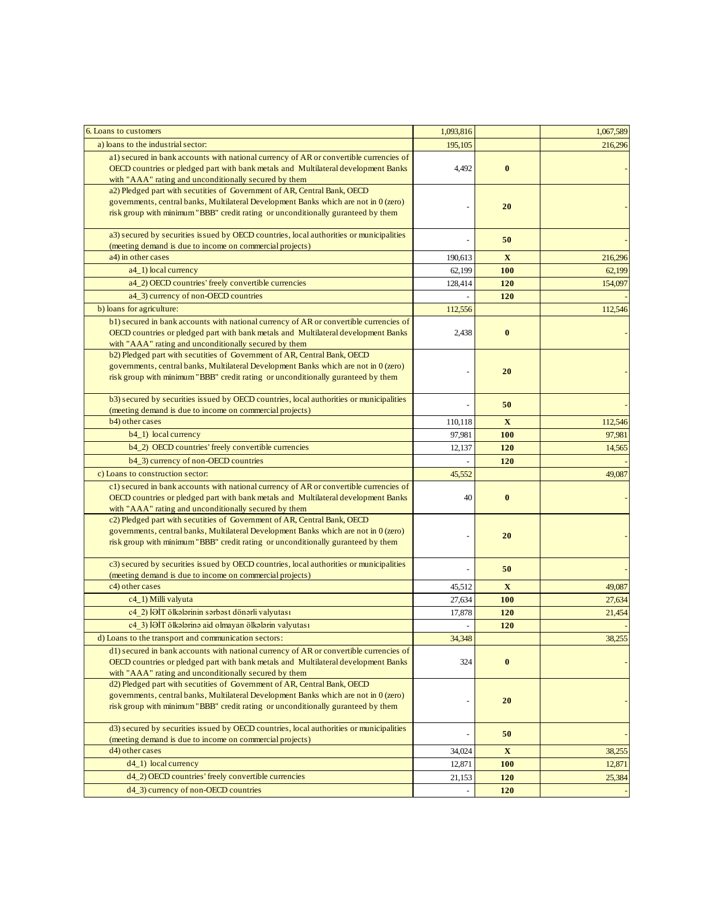| 6. Loans to customers                                                                                                                                                                                                                                | 1,093,816 |             | 1,067,589 |
|------------------------------------------------------------------------------------------------------------------------------------------------------------------------------------------------------------------------------------------------------|-----------|-------------|-----------|
| a) loans to the industrial sector:                                                                                                                                                                                                                   | 195,105   |             | 216,296   |
| a1) secured in bank accounts with national currency of AR or convertible currencies of<br>OECD countries or pledged part with bank metals and Multilateral development Banks<br>with "AAA" rating and unconditionally secured by them                | 4,492     | $\bf{0}$    |           |
| a2) Pledged part with secutities of Government of AR, Central Bank, OECD<br>governments, central banks, Multilateral Development Banks which are not in 0 (zero)<br>risk group with minimum "BBB" credit rating or unconditionally guranteed by them |           | 20          |           |
| a3) secured by securities issued by OECD countries, local authorities or municipalities<br>(meeting demand is due to income on commercial projects)                                                                                                  |           | 50          |           |
| a4) in other cases                                                                                                                                                                                                                                   | 190,613   | $\mathbf X$ | 216,296   |
| a4_1) local currency                                                                                                                                                                                                                                 | 62,199    | 100         | 62,199    |
| a4_2) OECD countries' freely convertible currencies                                                                                                                                                                                                  | 128,414   | 120         | 154,097   |
| a4_3) currency of non-OECD countries                                                                                                                                                                                                                 |           | 120         |           |
| b) loans for agriculture:                                                                                                                                                                                                                            | 112,556   |             | 112,546   |
| b1) secured in bank accounts with national currency of AR or convertible currencies of<br>OECD countries or pledged part with bank metals and Multilateral development Banks<br>with "AAA" rating and unconditionally secured by them                | 2,438     | $\bf{0}$    |           |
| b2) Pledged part with secutities of Government of AR, Central Bank, OECD<br>governments, central banks, Multilateral Development Banks which are not in 0 (zero)<br>risk group with minimum "BBB" credit rating or unconditionally guranteed by them |           | 20          |           |
| b3) secured by securities issued by OECD countries, local authorities or municipalities<br>(meeting demand is due to income on commercial projects)                                                                                                  |           | 50          |           |
| b4) other cases                                                                                                                                                                                                                                      | 110,118   | X           | 112,546   |
| b4_1) local currency                                                                                                                                                                                                                                 | 97,981    | <b>100</b>  | 97,981    |
| b4_2) OECD countries' freely convertible currencies                                                                                                                                                                                                  | 12,137    | 120         | 14,565    |
| b4 3) currency of non-OECD countries                                                                                                                                                                                                                 |           | 120         |           |
| c) Loans to construction sector:                                                                                                                                                                                                                     | 45,552    |             | 49,087    |
| c1) secured in bank accounts with national currency of AR or convertible currencies of<br>OECD countries or pledged part with bank metals and Multilateral development Banks<br>with "AAA" rating and unconditionally secured by them                | 40        | $\bf{0}$    |           |
| c2) Pledged part with secutities of Government of AR, Central Bank, OECD<br>governments, central banks, Multilateral Development Banks which are not in 0 (zero)<br>risk group with minimum "BBB" credit rating or unconditionally guranteed by them |           | 20          |           |
| c3) secured by securities issued by OECD countries, local authorities or municipalities<br>(meeting demand is due to income on commercial projects)                                                                                                  |           | 50          |           |
| c4) other cases                                                                                                                                                                                                                                      | 45,512    | $\mathbf X$ | 49,087    |
| c4_1) Milli valyuta                                                                                                                                                                                                                                  | 27,634    | <b>100</b>  | 27,634    |
| c4 2) İƏİT ölkələrinin sərbəst dönərli valyutası                                                                                                                                                                                                     | 17,878    | 120         | 21,454    |
| c4 3) İƏİT ölkələrinə aid olmayan ölkələrin valyutası                                                                                                                                                                                                |           | 120         |           |
| d) Loans to the transport and communication sectors:                                                                                                                                                                                                 | 34,348    |             | 38,255    |
| d1) secured in bank accounts with national currency of AR or convertible currencies of<br>OECD countries or pledged part with bank metals and Multilateral development Banks<br>with "AAA" rating and unconditionally secured by them                | 324       | $\bf{0}$    |           |
| d2) Pledged part with secutities of Government of AR, Central Bank, OECD<br>governments, central banks, Multilateral Development Banks which are not in 0 (zero)<br>risk group with minimum "BBB" credit rating or unconditionally guranteed by them |           | 20          |           |
| d3) secured by securities issued by OECD countries, local authorities or municipalities                                                                                                                                                              |           | 50          |           |
| (meeting demand is due to income on commercial projects)<br>d4) other cases                                                                                                                                                                          | 34,024    | $\mathbf X$ | 38,255    |
| $d4_1)$ local currency                                                                                                                                                                                                                               | 12,871    | <b>100</b>  | 12,871    |
| d4_2) OECD countries' freely convertible currencies                                                                                                                                                                                                  | 21,153    | 120         | 25,384    |
| d4_3) currency of non-OECD countries                                                                                                                                                                                                                 | ÷,        | 120         |           |
|                                                                                                                                                                                                                                                      |           |             |           |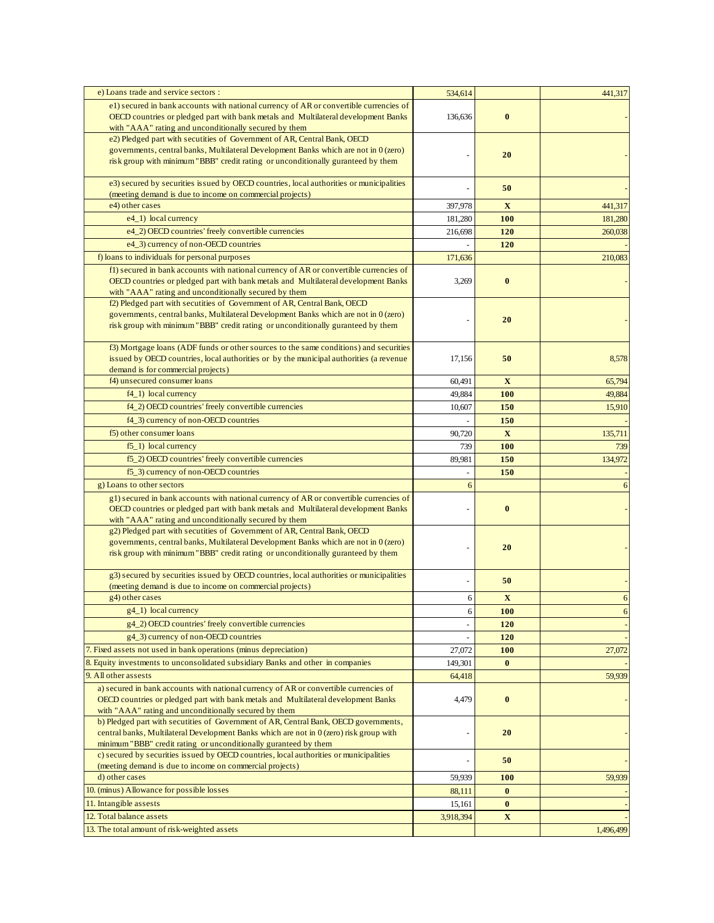| e) Loans trade and service sectors :                                                                                                                                            | 534,614   |              | 441,317   |
|---------------------------------------------------------------------------------------------------------------------------------------------------------------------------------|-----------|--------------|-----------|
| e1) secured in bank accounts with national currency of AR or convertible currencies of                                                                                          |           |              |           |
| OECD countries or pledged part with bank metals and Multilateral development Banks                                                                                              | 136,636   | $\bf{0}$     |           |
| with "AAA" rating and unconditionally secured by them                                                                                                                           |           |              |           |
| e2) Pledged part with secutities of Government of AR, Central Bank, OECD                                                                                                        |           |              |           |
| governments, central banks, Multilateral Development Banks which are not in 0 (zero)<br>risk group with minimum "BBB" credit rating or unconditionally guranteed by them        |           | 20           |           |
|                                                                                                                                                                                 |           |              |           |
| e3) secured by securities issued by OECD countries, local authorities or municipalities                                                                                         |           |              |           |
| (meeting demand is due to income on commercial projects)                                                                                                                        |           | 50           |           |
| e4) other cases                                                                                                                                                                 | 397,978   | $\mathbf{X}$ | 441,317   |
| e4_1) local currency                                                                                                                                                            | 181,280   | 100          | 181,280   |
| e4_2) OECD countries' freely convertible currencies                                                                                                                             | 216,698   | 120          | 260,038   |
| e4_3) currency of non-OECD countries                                                                                                                                            |           | 120          |           |
| f) loans to individuals for personal purposes                                                                                                                                   | 171,636   |              | 210,083   |
| f1) secured in bank accounts with national currency of AR or convertible currencies of                                                                                          |           |              |           |
| OECD countries or pledged part with bank metals and Multilateral development Banks                                                                                              | 3,269     | $\bf{0}$     |           |
| with "AAA" rating and unconditionally secured by them                                                                                                                           |           |              |           |
| f2) Pledged part with secutities of Government of AR, Central Bank, OECD                                                                                                        |           |              |           |
| governments, central banks, Multilateral Development Banks which are not in 0 (zero)                                                                                            |           | 20           |           |
| risk group with minimum "BBB" credit rating or unconditionally guranteed by them                                                                                                |           |              |           |
|                                                                                                                                                                                 |           |              |           |
| f3) Mortgage loans (ADF funds or other sources to the same conditions) and securities<br>issued by OECD countries, local authorities or by the municipal authorities (a revenue | 17,156    | 50           | 8,578     |
| demand is for commercial projects)                                                                                                                                              |           |              |           |
| f4) unsecured consumer loans                                                                                                                                                    | 60,491    | $\mathbf{X}$ | 65,794    |
| $f4_1$ ) local currency                                                                                                                                                         | 49,884    | 100          | 49,884    |
| f4_2) OECD countries' freely convertible currencies                                                                                                                             | 10,607    | 150          | 15,910    |
| f4_3) currency of non-OECD countries                                                                                                                                            |           | 150          |           |
| f5) other consumer loans                                                                                                                                                        | 90,720    | X            | 135,711   |
| $f5_1$ ) local currency                                                                                                                                                         | 739       | <b>100</b>   | 739       |
| f5_2) OECD countries' freely convertible currencies                                                                                                                             |           |              |           |
|                                                                                                                                                                                 | 89,981    | 150          | 134,972   |
| f5_3) currency of non-OECD countries                                                                                                                                            |           | 150          |           |
| g) Loans to other sectors                                                                                                                                                       | 6         |              | 6         |
| g1) secured in bank accounts with national currency of AR or convertible currencies of<br>OECD countries or pledged part with bank metals and Multilateral development Banks    |           | $\bf{0}$     |           |
| with "AAA" rating and unconditionally secured by them                                                                                                                           |           |              |           |
| g2) Pledged part with secutities of Government of AR, Central Bank, OECD                                                                                                        |           |              |           |
| governments, central banks, Multilateral Development Banks which are not in 0 (zero)                                                                                            |           |              |           |
| risk group with minimum "BBB" credit rating or unconditionally guranteed by them                                                                                                |           | 20           |           |
|                                                                                                                                                                                 |           |              |           |
| g3) secured by securities issued by OECD countries, local authorities or municipalities                                                                                         |           | 50           |           |
| (meeting demand is due to income on commercial projects)                                                                                                                        |           |              |           |
| g4) other cases<br>g4_1) local currency                                                                                                                                         | 6         | $\mathbf{X}$ | 6         |
|                                                                                                                                                                                 | 6         | <b>100</b>   | 6         |
| g4_2) OECD countries' freely convertible currencies                                                                                                                             | L,        | 120          |           |
| g4_3) currency of non-OECD countries                                                                                                                                            |           | 120          |           |
| 7. Fixed assets not used in bank operations (minus depreciation)                                                                                                                | 27,072    | 100          | 27,072    |
| 8. Equity investments to unconsolidated subsidiary Banks and other in companies                                                                                                 | 149,301   | $\bf{0}$     |           |
| 9. All other assests                                                                                                                                                            | 64,418    |              | 59,939    |
| a) secured in bank accounts with national currency of AR or convertible currencies of                                                                                           |           |              |           |
| OECD countries or pledged part with bank metals and Multilateral development Banks<br>with "AAA" rating and unconditionally secured by them                                     | 4,479     | $\bf{0}$     |           |
| b) Pledged part with secutities of Government of AR, Central Bank, OECD governments,                                                                                            |           |              |           |
| central banks, Multilateral Development Banks which are not in 0 (zero) risk group with                                                                                         |           | 20           |           |
| minimum "BBB" credit rating or unconditionally guranteed by them                                                                                                                |           |              |           |
| c) secured by securities issued by OECD countries, local authorities or municipalities                                                                                          |           | 50           |           |
| (meeting demand is due to income on commercial projects)                                                                                                                        |           |              |           |
| d) other cases                                                                                                                                                                  | 59,939    | 100          | 59,939    |
| 10. (minus) Allowance for possible losses                                                                                                                                       | 88,111    | $\bf{0}$     |           |
| 11. Intangible assests                                                                                                                                                          | 15,161    | $\bf{0}$     |           |
| 12. Total balance assets                                                                                                                                                        | 3,918,394 | $\mathbf X$  |           |
| 13. The total amount of risk-weighted assets                                                                                                                                    |           |              | 1,496,499 |